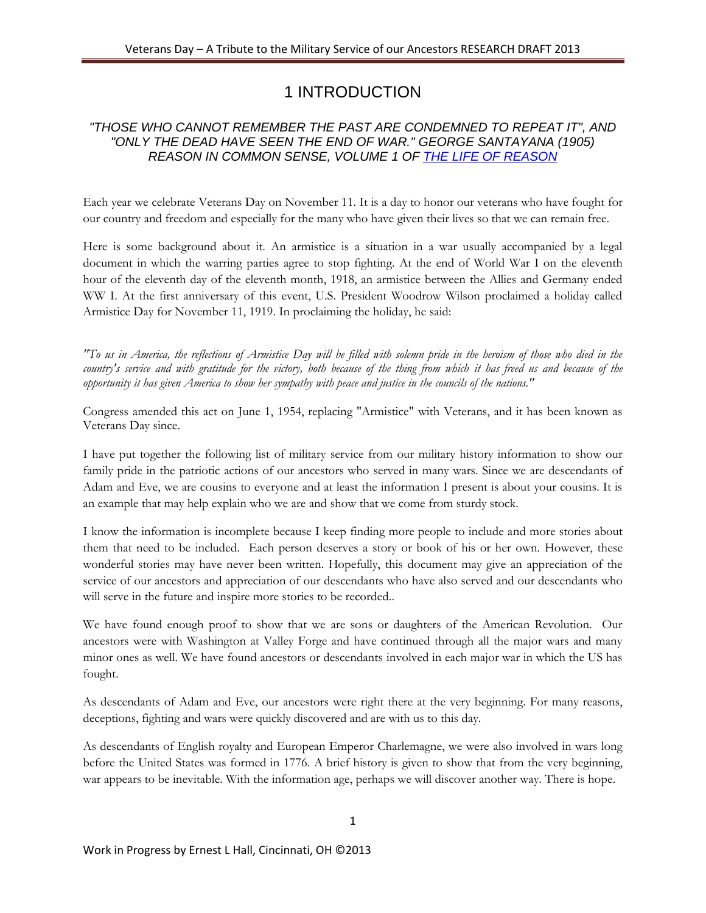## 1 INTRODUCTION

## *"THOSE WHO CANNOT REMEMBER THE PAST ARE CONDEMNED TO REPEAT IT", AND "ONLY THE DEAD HAVE SEEN THE END OF WAR." GEORGE SANTAYANA (1905) REASON IN COMMON SENSE, VOLUME 1 OF [THE LIFE OF REASON](http://en.wikipedia.org/wiki/The_Life_of_Reason)*

Each year we celebrate Veterans Day on November 11. It is a day to honor our veterans who have fought for our country and freedom and especially for the many who have given their lives so that we can remain free.

Here is some background about it. An armistice is a situation in a war usually accompanied by a legal document in which the warring parties agree to stop fighting. At the end of World War I on the eleventh hour of the eleventh day of the eleventh month, 1918, an armistice between the Allies and Germany ended WW I. At the first anniversary of this event, U.S. President Woodrow Wilson proclaimed a holiday called Armistice Day for November 11, 1919. In proclaiming the holiday, he said:

*"To us in America, the reflections of Armistice Day will be filled with solemn pride in the heroism of those who died in the country's service and with gratitude for the victory, both because of the thing from which it has freed us and because of the opportunity it has given America to show her sympathy with peace and justice in the councils of the nations."*

Congress amended this act on June 1, 1954, replacing "Armistice" with Veterans, and it has been known as Veterans Day since.

I have put together the following list of military service from our military history information to show our family pride in the patriotic actions of our ancestors who served in many wars. Since we are descendants of Adam and Eve, we are cousins to everyone and at least the information I present is about your cousins. It is an example that may help explain who we are and show that we come from sturdy stock.

I know the information is incomplete because I keep finding more people to include and more stories about them that need to be included. Each person deserves a story or book of his or her own. However, these wonderful stories may have never been written. Hopefully, this document may give an appreciation of the service of our ancestors and appreciation of our descendants who have also served and our descendants who will serve in the future and inspire more stories to be recorded..

We have found enough proof to show that we are sons or daughters of the American Revolution. Our ancestors were with Washington at Valley Forge and have continued through all the major wars and many minor ones as well. We have found ancestors or descendants involved in each major war in which the US has fought.

As descendants of Adam and Eve, our ancestors were right there at the very beginning. For many reasons, deceptions, fighting and wars were quickly discovered and are with us to this day.

As descendants of English royalty and European Emperor Charlemagne, we were also involved in wars long before the United States was formed in 1776. A brief history is given to show that from the very beginning, war appears to be inevitable. With the information age, perhaps we will discover another way. There is hope.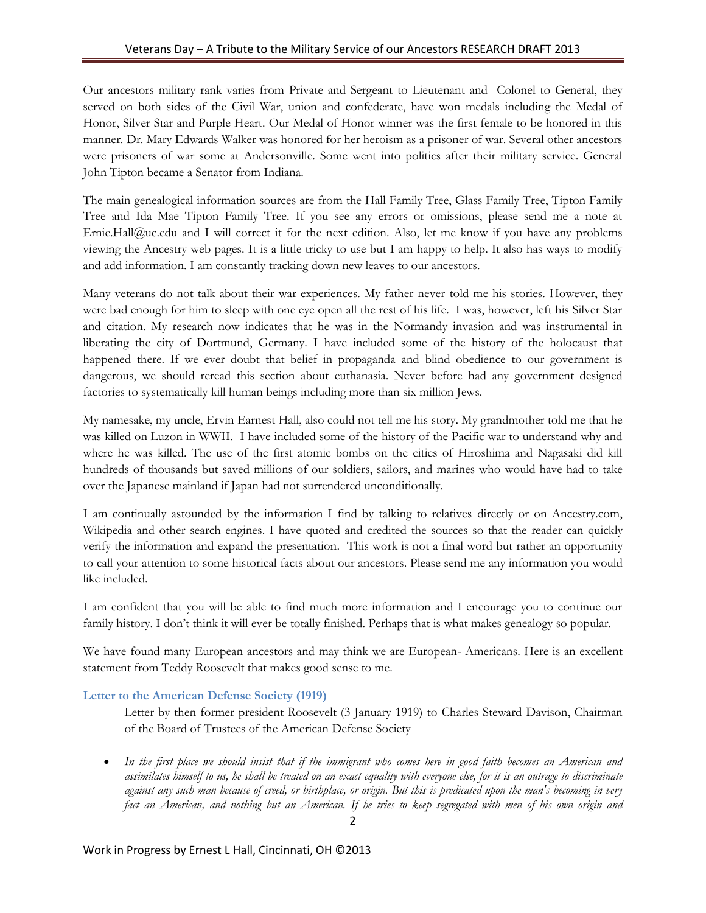Our ancestors military rank varies from Private and Sergeant to Lieutenant and Colonel to General, they served on both sides of the Civil War, union and confederate, have won medals including the Medal of Honor, Silver Star and Purple Heart. Our Medal of Honor winner was the first female to be honored in this manner. Dr. Mary Edwards Walker was honored for her heroism as a prisoner of war. Several other ancestors were prisoners of war some at Andersonville. Some went into politics after their military service. General John Tipton became a Senator from Indiana.

The main genealogical information sources are from the Hall Family Tree, Glass Family Tree, Tipton Family Tree and Ida Mae Tipton Family Tree. If you see any errors or omissions, please send me a note at Ernie.Hall@uc.edu and I will correct it for the next edition. Also, let me know if you have any problems viewing the Ancestry web pages. It is a little tricky to use but I am happy to help. It also has ways to modify and add information. I am constantly tracking down new leaves to our ancestors.

Many veterans do not talk about their war experiences. My father never told me his stories. However, they were bad enough for him to sleep with one eye open all the rest of his life. I was, however, left his Silver Star and citation. My research now indicates that he was in the Normandy invasion and was instrumental in liberating the city of Dortmund, Germany. I have included some of the history of the holocaust that happened there. If we ever doubt that belief in propaganda and blind obedience to our government is dangerous, we should reread this section about euthanasia. Never before had any government designed factories to systematically kill human beings including more than six million Jews.

My namesake, my uncle, Ervin Earnest Hall, also could not tell me his story. My grandmother told me that he was killed on Luzon in WWII. I have included some of the history of the Pacific war to understand why and where he was killed. The use of the first atomic bombs on the cities of Hiroshima and Nagasaki did kill hundreds of thousands but saved millions of our soldiers, sailors, and marines who would have had to take over the Japanese mainland if Japan had not surrendered unconditionally.

I am continually astounded by the information I find by talking to relatives directly or on Ancestry.com, Wikipedia and other search engines. I have quoted and credited the sources so that the reader can quickly verify the information and expand the presentation. This work is not a final word but rather an opportunity to call your attention to some historical facts about our ancestors. Please send me any information you would like included.

I am confident that you will be able to find much more information and I encourage you to continue our family history. I don't think it will ever be totally finished. Perhaps that is what makes genealogy so popular.

We have found many European ancestors and may think we are European- Americans. Here is an excellent statement from Teddy Roosevelt that makes good sense to me.

## **Letter to the American Defense Society (1919)**

Letter by then former president Roosevelt (3 January 1919) to Charles Steward Davison, Chairman of the Board of Trustees of the American Defense Society

 *In the first place we should insist that if the immigrant who comes here in good faith becomes an American and assimilates himself to us, he shall be treated on an exact equality with everyone else, for it is an outrage to discriminate against any such man because of creed, or birthplace, or origin. But this is predicated upon the man's becoming in very fact an American, and nothing but an American. If he tries to keep segregated with men of his own origin and*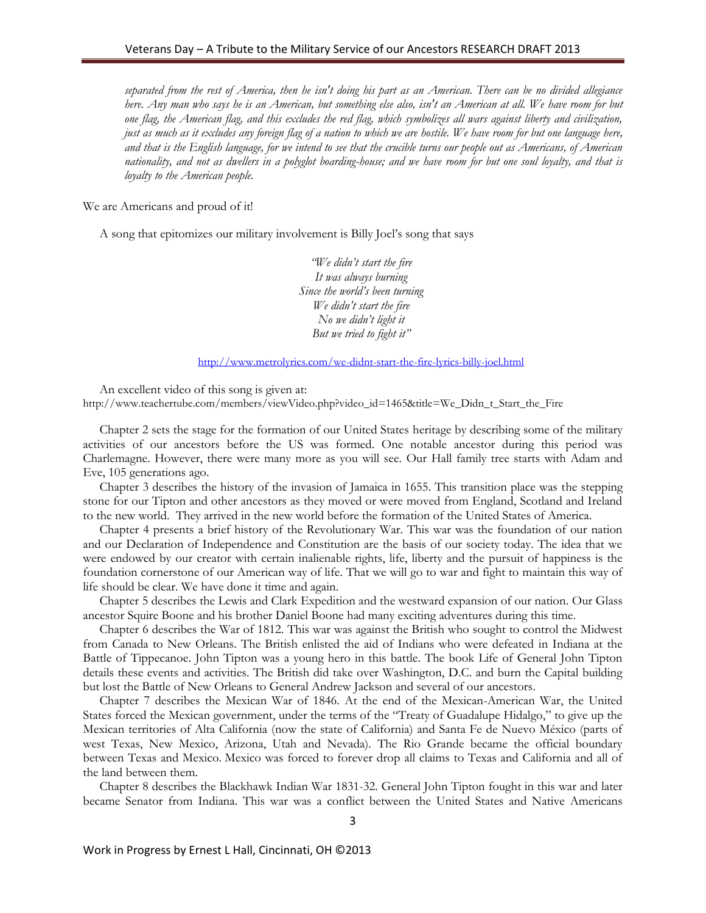*separated from the rest of America, then he isn't doing his part as an American. There can be no divided allegiance here. Any man who says he is an American, but something else also, isn't an American at all. We have room for but one flag, the American flag, and this excludes the red flag, which symbolizes all wars against liberty and civilization, just as much as it excludes any foreign flag of a nation to which we are hostile. We have room for but one language here,*  and that is the English language, for we intend to see that the crucible turns our people out as Americans, of American *nationality, and not as dwellers in a polyglot boarding-house; and we have room for but one soul loyalty, and that is loyalty to the American people.*

We are Americans and proud of it!

A song that epitomizes our military involvement is Billy Joel's song that says

*"We didn't start the fire It was always burning Since the world's been turning We didn't start the fire No we didn't light it But we tried to fight it"*

<http://www.metrolyrics.com/we-didnt-start-the-fire-lyrics-billy-joel.html>

An excellent video of this song is given at:

http://www.teachertube.com/members/viewVideo.php?video\_id=1465&title=We\_Didn\_t\_Start\_the\_Fire

Chapter 2 sets the stage for the formation of our United States heritage by describing some of the military activities of our ancestors before the US was formed. One notable ancestor during this period was Charlemagne. However, there were many more as you will see. Our Hall family tree starts with Adam and Eve, 105 generations ago.

Chapter 3 describes the history of the invasion of Jamaica in 1655. This transition place was the stepping stone for our Tipton and other ancestors as they moved or were moved from England, Scotland and Ireland to the new world. They arrived in the new world before the formation of the United States of America.

Chapter 4 presents a brief history of the Revolutionary War. This war was the foundation of our nation and our Declaration of Independence and Constitution are the basis of our society today. The idea that we were endowed by our creator with certain inalienable rights, life, liberty and the pursuit of happiness is the foundation cornerstone of our American way of life. That we will go to war and fight to maintain this way of life should be clear. We have done it time and again.

Chapter 5 describes the Lewis and Clark Expedition and the westward expansion of our nation. Our Glass ancestor Squire Boone and his brother Daniel Boone had many exciting adventures during this time.

Chapter 6 describes the War of 1812. This war was against the British who sought to control the Midwest from Canada to New Orleans. The British enlisted the aid of Indians who were defeated in Indiana at the Battle of Tippecanoe. John Tipton was a young hero in this battle. The book Life of General John Tipton details these events and activities. The British did take over Washington, D.C. and burn the Capital building but lost the Battle of New Orleans to General Andrew Jackson and several of our ancestors.

Chapter 7 describes the Mexican War of 1846. At the end of the Mexican-American War, the United States forced the Mexican government, under the terms of the "Treaty of Guadalupe Hidalgo," to give up the Mexican territories of Alta California (now the state of California) and Santa Fe de Nuevo México (parts of west Texas, New Mexico, Arizona, Utah and Nevada). The Rio Grande became the official boundary between Texas and Mexico. Mexico was forced to forever drop all claims to Texas and California and all of the land between them.

Chapter 8 describes the Blackhawk Indian War 1831-32. General John Tipton fought in this war and later became Senator from Indiana. This war was a conflict between the United States and Native Americans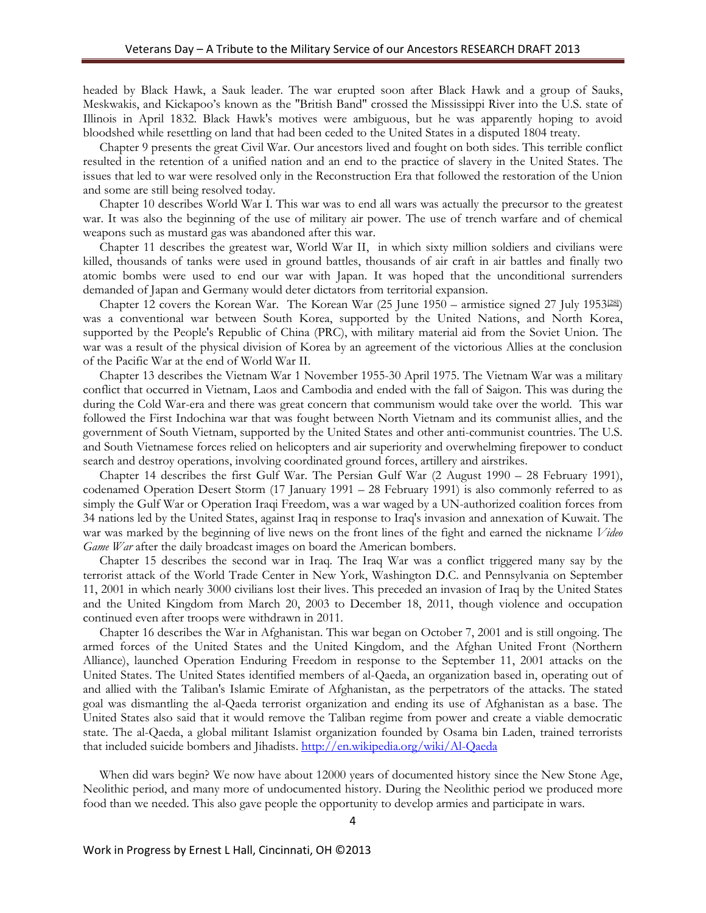headed by Black Hawk, a Sauk leader. The war erupted soon after Black Hawk and a group of Sauks, Meskwakis, and Kickapoo's known as the "British Band" crossed the Mississippi River into the U.S. state of Illinois in April 1832. Black Hawk's motives were ambiguous, but he was apparently hoping to avoid bloodshed while resettling on land that had been ceded to the United States in a disputed 1804 treaty.

Chapter 9 presents the great Civil War. Our ancestors lived and fought on both sides. This terrible conflict resulted in the retention of a unified nation and an end to the practice of slavery in the United States. The issues that led to war were resolved only in the Reconstruction Era that followed the restoration of the Union and some are still being resolved today.

Chapter 10 describes World War I. This war was to end all wars was actually the precursor to the greatest war. It was also the beginning of the use of military air power. The use of trench warfare and of chemical weapons such as mustard gas was abandoned after this war.

Chapter 11 describes the greatest war, World War II, in which sixty million soldiers and civilians were killed, thousands of tanks were used in ground battles, thousands of air craft in air battles and finally two atomic bombs were used to end our war with Japan. It was hoped that the unconditional surrenders demanded of Japan and Germany would deter dictators from territorial expansion.

Chapter 12 covers the Korean War. The Korean War (25 June 1950 – armistice signed 27 July 1953<sup>[28]</sup>) was a conventional war between South Korea, supported by the United Nations, and North Korea, supported by the People's Republic of China (PRC), with military material aid from the Soviet Union. The war was a result of the physical division of Korea by an agreement of the victorious Allies at the conclusion of the Pacific War at the end of World War II.

Chapter 13 describes the Vietnam War 1 November 1955-30 April 1975. The Vietnam War was a military conflict that occurred in Vietnam, Laos and Cambodia and ended with the fall of Saigon. This was during the during the Cold War-era and there was great concern that communism would take over the world. This war followed the First Indochina war that was fought between North Vietnam and its communist allies, and the government of South Vietnam, supported by the United States and other anti-communist countries. The U.S. and South Vietnamese forces relied on helicopters and air superiority and overwhelming firepower to conduct search and destroy operations, involving coordinated ground forces, artillery and airstrikes.

Chapter 14 describes the first Gulf War. The Persian Gulf War (2 August 1990 – 28 February 1991), codenamed Operation Desert Storm (17 January 1991 – 28 February 1991) is also commonly referred to as simply the Gulf War or Operation Iraqi Freedom, was a war waged by a UN-authorized coalition forces from 34 nations led by the United States, against Iraq in response to Iraq's invasion and annexation of Kuwait. The war was marked by the beginning of live news on the front lines of the fight and earned the nickname *Video Game War* after the daily broadcast images on board the American bombers.

Chapter 15 describes the second war in Iraq. The Iraq War was a conflict triggered many say by the terrorist attack of the World Trade Center in New York, Washington D.C. and Pennsylvania on September 11, 2001 in which nearly 3000 civilians lost their lives. This preceded an invasion of Iraq by the United States and the United Kingdom from March 20, 2003 to December 18, 2011, though violence and occupation continued even after troops were withdrawn in 2011.

Chapter 16 describes the War in Afghanistan. This war began on October 7, 2001 and is still ongoing. The armed forces of the United States and the United Kingdom, and the Afghan United Front (Northern Alliance), launched Operation Enduring Freedom in response to the September 11, 2001 attacks on the United States. The United States identified members of al-Qaeda, an organization based in, operating out of and allied with the Taliban's Islamic Emirate of Afghanistan, as the perpetrators of the attacks. The stated goal was dismantling the al-Qaeda terrorist organization and ending its use of Afghanistan as a base. The United States also said that it would remove the Taliban regime from power and create a viable democratic state. The al-Qaeda, a global militant Islamist organization founded by Osama bin Laden, trained terrorists that included suicide bombers and Jihadists.<http://en.wikipedia.org/wiki/Al-Qaeda>

When did wars begin? We now have about 12000 years of documented history since the New Stone Age, Neolithic period, and many more of undocumented history. During the Neolithic period we produced more food than we needed. This also gave people the opportunity to develop armies and participate in wars.